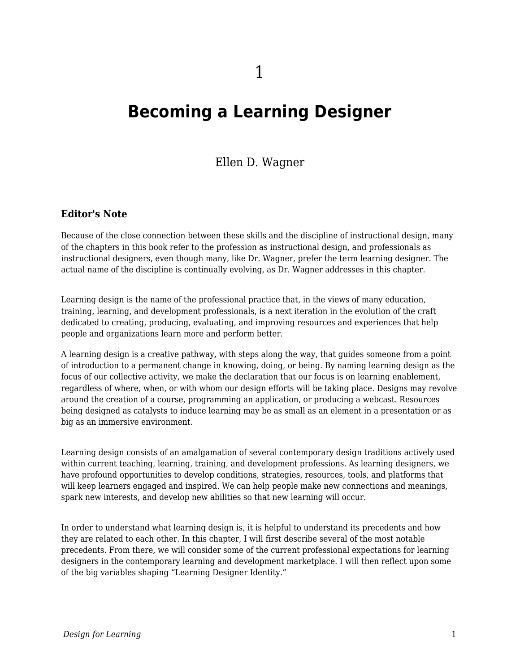# **Becoming a Learning Designer**

Ellen D. Wagner

#### **Editor's Note**

Because of the close connection between these skills and the discipline of instructional design, many of the chapters in this book refer to the profession as instructional design, and professionals as instructional designers, even though many, like Dr. Wagner, prefer the term learning designer. The actual name of the discipline is continually evolving, as Dr. Wagner addresses in this chapter.

Learning design is the name of the professional practice that, in the views of many education, training, learning, and development professionals, is a next iteration in the evolution of the craft dedicated to creating, producing, evaluating, and improving resources and experiences that help people and organizations learn more and perform better.

A learning design is a creative pathway, with steps along the way, that guides someone from a point of introduction to a permanent change in knowing, doing, or being. By naming learning design as the focus of our collective activity, we make the declaration that our focus is on learning enablement, regardless of where, when, or with whom our design efforts will be taking place. Designs may revolve around the creation of a course, programming an application, or producing a webcast. Resources being designed as catalysts to induce learning may be as small as an element in a presentation or as big as an immersive environment.

Learning design consists of an amalgamation of several contemporary design traditions actively used within current teaching, learning, training, and development professions. As learning designers, we have profound opportunities to develop conditions, strategies, resources, tools, and platforms that will keep learners engaged and inspired. We can help people make new connections and meanings, spark new interests, and develop new abilities so that new learning will occur.

In order to understand what learning design is, it is helpful to understand its precedents and how they are related to each other. In this chapter, I will first describe several of the most notable precedents. From there, we will consider some of the current professional expectations for learning designers in the contemporary learning and development marketplace. I will then reflect upon some of the big variables shaping "Learning Designer Identity."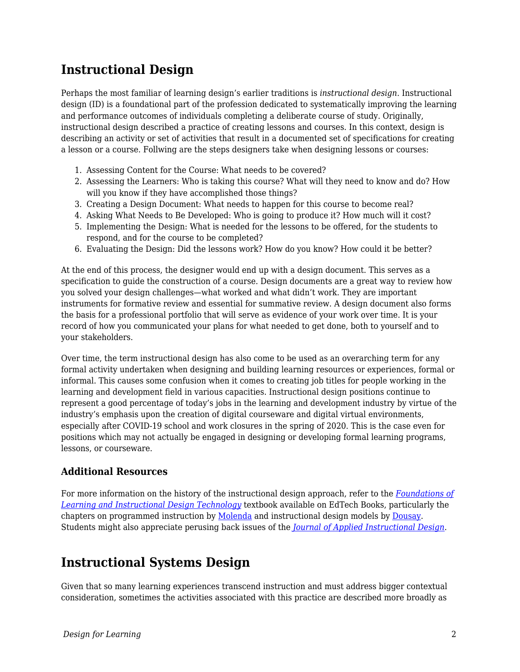### **Instructional Design**

Perhaps the most familiar of learning design's earlier traditions is *instructional design*. Instructional design (ID) is a foundational part of the profession dedicated to systematically improving the learning and performance outcomes of individuals completing a deliberate course of study. Originally, instructional design described a practice of creating lessons and courses. In this context, design is describing an activity or set of activities that result in a documented set of specifications for creating a lesson or a course. Follwing are the steps designers take when designing lessons or courses:

- 1. Assessing Content for the Course: What needs to be covered?
- 2. Assessing the Learners: Who is taking this course? What will they need to know and do? How will you know if they have accomplished those things?
- 3. Creating a Design Document: What needs to happen for this course to become real?
- 4. Asking What Needs to Be Developed: Who is going to produce it? How much will it cost?
- 5. Implementing the Design: What is needed for the lessons to be offered, for the students to respond, and for the course to be completed?
- 6. Evaluating the Design: Did the lessons work? How do you know? How could it be better?

At the end of this process, the designer would end up with a design document. This serves as a specification to guide the construction of a course. Design documents are a great way to review how you solved your design challenges—what worked and what didn't work. They are important instruments for formative review and essential for summative review. A design document also forms the basis for a professional portfolio that will serve as evidence of your work over time. It is your record of how you communicated your plans for what needed to get done, both to yourself and to your stakeholders.

Over time, the term instructional design has also come to be used as an overarching term for any formal activity undertaken when designing and building learning resources or experiences, formal or informal. This causes some confusion when it comes to creating job titles for people working in the learning and development field in various capacities. Instructional design positions continue to represent a good percentage of today's jobs in the learning and development industry by virtue of the industry's emphasis upon the creation of digital courseware and digital virtual environments, especially after COVID-19 school and work closures in the spring of 2020. This is the case even for positions which may not actually be engaged in designing or developing formal learning programs, lessons, or courseware.

#### **Additional Resources**

For more information on the history of the instructional design approach, refer to the *[Foundations of](https://edtechbooks.org/lidtfoundations) [Learning and Instructional Design Technology](https://edtechbooks.org/lidtfoundations)* textbook available on EdTech Books, particularly the chapters on programmed instruction by [Molenda](https://edtechbooks.org/lidtfoundations/programmed_instruction) and instructional design models by [Dousay.](https://edtechbooks.org/lidtfoundations/instructional_design_models) Students might also appreciate perusing back issues of the *[Journal of Applied Instructional Design](https://edtechbooks.org/jaid_9_3/about_the_journal)*.

#### **Instructional Systems Design**

Given that so many learning experiences transcend instruction and must address bigger contextual consideration, sometimes the activities associated with this practice are described more broadly as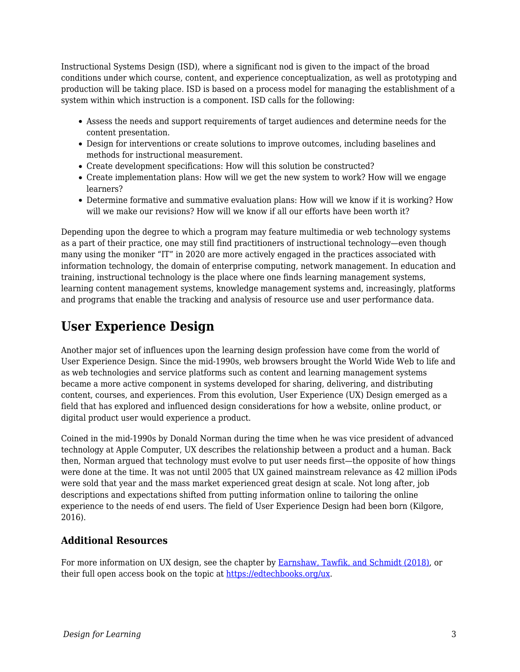Instructional Systems Design (ISD), where a significant nod is given to the impact of the broad conditions under which course, content, and experience conceptualization, as well as prototyping and production will be taking place. ISD is based on a process model for managing the establishment of a system within which instruction is a component. ISD calls for the following:

- Assess the needs and support requirements of target audiences and determine needs for the content presentation.
- Design for interventions or create solutions to improve outcomes, including baselines and methods for instructional measurement.
- Create development specifications: How will this solution be constructed?
- Create implementation plans: How will we get the new system to work? How will we engage learners?
- Determine formative and summative evaluation plans: How will we know if it is working? How will we make our revisions? How will we know if all our efforts have been worth it?

Depending upon the degree to which a program may feature multimedia or web technology systems as a part of their practice, one may still find practitioners of instructional technology—even though many using the moniker "IT" in 2020 are more actively engaged in the practices associated with information technology, the domain of enterprise computing, network management. In education and training, instructional technology is the place where one finds learning management systems, learning content management systems, knowledge management systems and, increasingly, platforms and programs that enable the tracking and analysis of resource use and user performance data.

### **User Experience Design**

Another major set of influences upon the learning design profession have come from the world of User Experience Design. Since the mid-1990s, web browsers brought the World Wide Web to life and as web technologies and service platforms such as content and learning management systems became a more active component in systems developed for sharing, delivering, and distributing content, courses, and experiences. From this evolution, User Experience (UX) Design emerged as a field that has explored and influenced design considerations for how a website, online product, or digital product user would experience a product.

Coined in the mid-1990s by Donald Norman during the time when he was vice president of advanced technology at Apple Computer, UX describes the relationship between a product and a human. Back then, Norman argued that technology must evolve to put user needs first—the opposite of how things were done at the time. It was not until 2005 that UX gained mainstream relevance as 42 million iPods were sold that year and the mass market experienced great design at scale. Not long after, job descriptions and expectations shifted from putting information online to tailoring the online experience to the needs of end users. The field of User Experience Design had been born (Kilgore, 2016).

#### **Additional Resources**

For more information on UX design, see the chapter by [Earnshaw, Tawfik, and Schmidt \(2018\),](https://edtechbooks.org/lidtfoundations/user_experience_design) or their full open access book on the topic at [https://edtechbooks.org/ux.](https://edtechbooks.org/ux)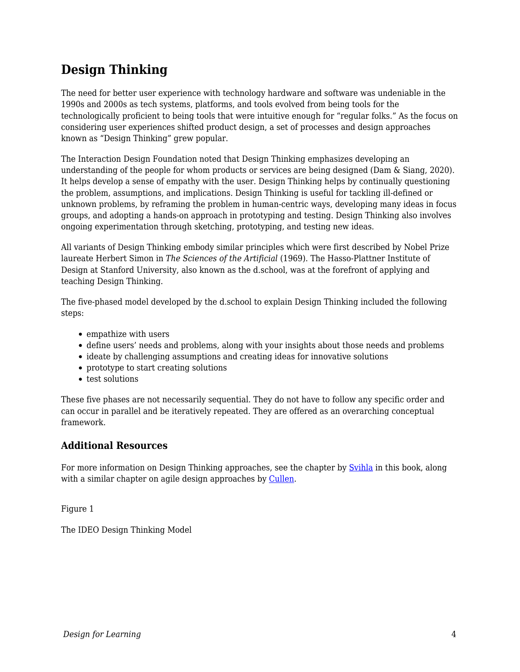### **Design Thinking**

The need for better user experience with technology hardware and software was undeniable in the 1990s and 2000s as tech systems, platforms, and tools evolved from being tools for the technologically proficient to being tools that were intuitive enough for "regular folks." As the focus on considering user experiences shifted product design, a set of processes and design approaches known as "Design Thinking" grew popular.

The Interaction Design Foundation noted that Design Thinking emphasizes developing an understanding of the people for whom products or services are being designed (Dam & Siang, 2020). It helps develop a sense of empathy with the user. Design Thinking helps by continually questioning the problem, assumptions, and implications. Design Thinking is useful for tackling ill-defined or unknown problems, by reframing the problem in human-centric ways, developing many ideas in focus groups, and adopting a hands-on approach in prototyping and testing. Design Thinking also involves ongoing experimentation through sketching, prototyping, and testing new ideas.

All variants of Design Thinking embody similar principles which were first described by Nobel Prize laureate Herbert Simon in *The Sciences of the Artificial* (1969). The Hasso-Plattner Institute of Design at Stanford University, also known as the d.school, was at the forefront of applying and teaching Design Thinking.

The five-phased model developed by the d.school to explain Design Thinking included the following steps:

- empathize with users
- define users' needs and problems, along with your insights about those needs and problems
- ideate by challenging assumptions and creating ideas for innovative solutions
- prototype to start creating solutions
- test solutions

These five phases are not necessarily sequential. They do not have to follow any specific order and can occur in parallel and be iteratively repeated. They are offered as an overarching conceptual framework.

#### **Additional Resources**

For more information on Design Thinking approaches, see the chapter by [Svihla](https://edtechbooks.org/id/design_thinking) in this book, along with a similar chapter on agile design approaches by [Cullen](https://edtechbooks.org/id/agile_design_process).

Figure 1

The IDEO Design Thinking Model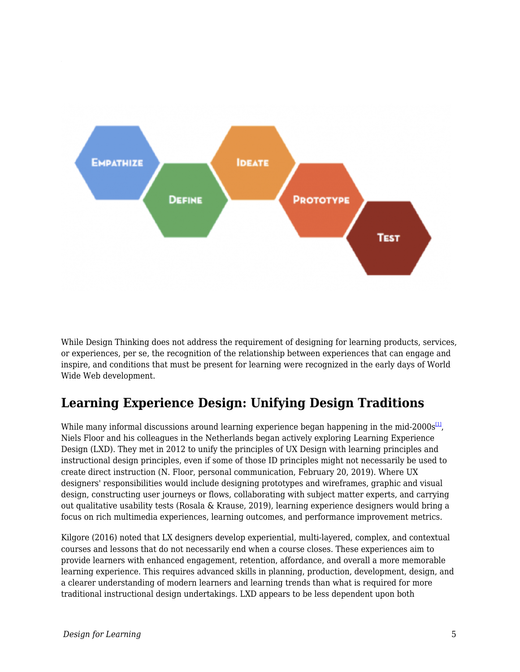

While Design Thinking does not address the requirement of designing for learning products, services, or experiences, per se, the recognition of the relationship between experiences that can engage and inspire, and conditions that must be present for learning were recognized in the early days of World Wide Web development.

## **Learning Experience Design: Unifying Design Traditions**

While many informal discussions around learning experience began happening in the mid-2000s $^{\text{11}}$ , Niels Floor and his colleagues in the Netherlands began actively exploring Learning Experience Design (LXD). They met in 2012 to unify the principles of UX Design with learning principles and instructional design principles, even if some of those ID principles might not necessarily be used to create direct instruction (N. Floor, personal communication, February 20, 2019). Where UX designers' responsibilities would include designing prototypes and wireframes, graphic and visual design, constructing user journeys or flows, collaborating with subject matter experts, and carrying out qualitative usability tests (Rosala & Krause, 2019), learning experience designers would bring a focus on rich multimedia experiences, learning outcomes, and performance improvement metrics.

Kilgore (2016) noted that LX designers develop experiential, multi-layered, complex, and contextual courses and lessons that do not necessarily end when a course closes. These experiences aim to provide learners with enhanced engagement, retention, affordance, and overall a more memorable learning experience. This requires advanced skills in planning, production, development, design, and a clearer understanding of modern learners and learning trends than what is required for more traditional instructional design undertakings. LXD appears to be less dependent upon both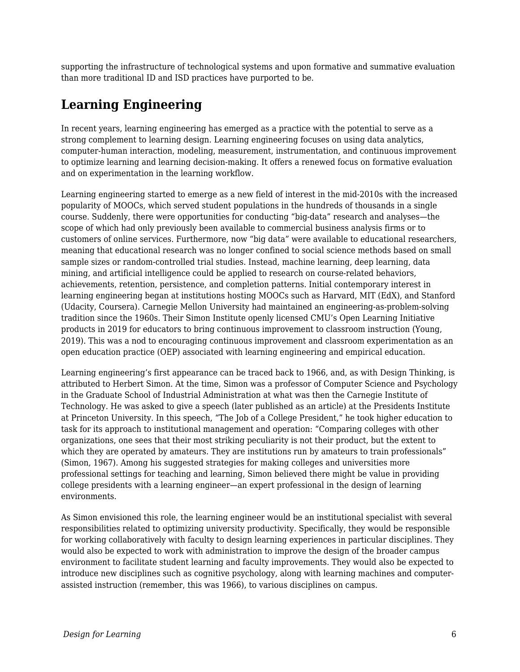supporting the infrastructure of technological systems and upon formative and summative evaluation than more traditional ID and ISD practices have purported to be.

## **Learning Engineering**

In recent years, learning engineering has emerged as a practice with the potential to serve as a strong complement to learning design. Learning engineering focuses on using data analytics, computer-human interaction, modeling, measurement, instrumentation, and continuous improvement to optimize learning and learning decision-making. It offers a renewed focus on formative evaluation and on experimentation in the learning workflow.

Learning engineering started to emerge as a new field of interest in the mid-2010s with the increased popularity of MOOCs, which served student populations in the hundreds of thousands in a single course. Suddenly, there were opportunities for conducting "big-data" research and analyses—the scope of which had only previously been available to commercial business analysis firms or to customers of online services. Furthermore, now "big data" were available to educational researchers, meaning that educational research was no longer confined to social science methods based on small sample sizes or random-controlled trial studies. Instead, machine learning, deep learning, data mining, and artificial intelligence could be applied to research on course-related behaviors, achievements, retention, persistence, and completion patterns. Initial contemporary interest in learning engineering began at institutions hosting MOOCs such as Harvard, MIT (EdX), and Stanford (Udacity, Coursera). Carnegie Mellon University had maintained an engineering-as-problem-solving tradition since the 1960s. Their Simon Institute openly licensed CMU's Open Learning Initiative products in 2019 for educators to bring continuous improvement to classroom instruction (Young, 2019). This was a nod to encouraging continuous improvement and classroom experimentation as an open education practice (OEP) associated with learning engineering and empirical education.

Learning engineering's first appearance can be traced back to 1966, and, as with Design Thinking, is attributed to Herbert Simon. At the time, Simon was a professor of Computer Science and Psychology in the Graduate School of Industrial Administration at what was then the Carnegie Institute of Technology. He was asked to give a speech (later published as an article) at the Presidents Institute at Princeton University. In this speech, "The Job of a College President," he took higher education to task for its approach to institutional management and operation: "Comparing colleges with other organizations, one sees that their most striking peculiarity is not their product, but the extent to which they are operated by amateurs. They are institutions run by amateurs to train professionals" (Simon, 1967). Among his suggested strategies for making colleges and universities more professional settings for teaching and learning, Simon believed there might be value in providing college presidents with a learning engineer—an expert professional in the design of learning environments.

As Simon envisioned this role, the learning engineer would be an institutional specialist with several responsibilities related to optimizing university productivity. Specifically, they would be responsible for working collaboratively with faculty to design learning experiences in particular disciplines. They would also be expected to work with administration to improve the design of the broader campus environment to facilitate student learning and faculty improvements. They would also be expected to introduce new disciplines such as cognitive psychology, along with learning machines and computerassisted instruction (remember, this was 1966), to various disciplines on campus.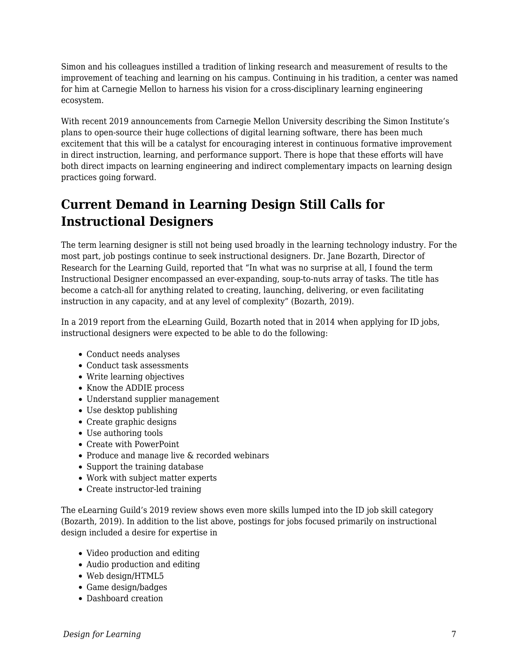Simon and his colleagues instilled a tradition of linking research and measurement of results to the improvement of teaching and learning on his campus. Continuing in his tradition, a center was named for him at Carnegie Mellon to harness his vision for a cross-disciplinary learning engineering ecosystem.

With recent 2019 announcements from Carnegie Mellon University describing the Simon Institute's plans to open-source their huge collections of digital learning software, there has been much excitement that this will be a catalyst for encouraging interest in continuous formative improvement in direct instruction, learning, and performance support. There is hope that these efforts will have both direct impacts on learning engineering and indirect complementary impacts on learning design practices going forward.

## **Current Demand in Learning Design Still Calls for Instructional Designers**

The term learning designer is still not being used broadly in the learning technology industry. For the most part, job postings continue to seek instructional designers. Dr. Jane Bozarth, Director of Research for the Learning Guild, reported that "In what was no surprise at all, I found the term Instructional Designer encompassed an ever-expanding, soup-to-nuts array of tasks. The title has become a catch-all for anything related to creating, launching, delivering, or even facilitating instruction in any capacity, and at any level of complexity" (Bozarth, 2019).

In a 2019 report from the eLearning Guild, Bozarth noted that in 2014 when applying for ID jobs, instructional designers were expected to be able to do the following:

- Conduct needs analyses
- Conduct task assessments
- Write learning objectives
- Know the ADDIE process
- Understand supplier management
- Use desktop publishing
- Create graphic designs
- Use authoring tools
- Create with PowerPoint
- Produce and manage live & recorded webinars
- Support the training database
- Work with subject matter experts
- Create instructor-led training

The eLearning Guild's 2019 review shows even more skills lumped into the ID job skill category (Bozarth, 2019). In addition to the list above, postings for jobs focused primarily on instructional design included a desire for expertise in

- Video production and editing
- Audio production and editing
- Web design/HTML5
- Game design/badges
- Dashboard creation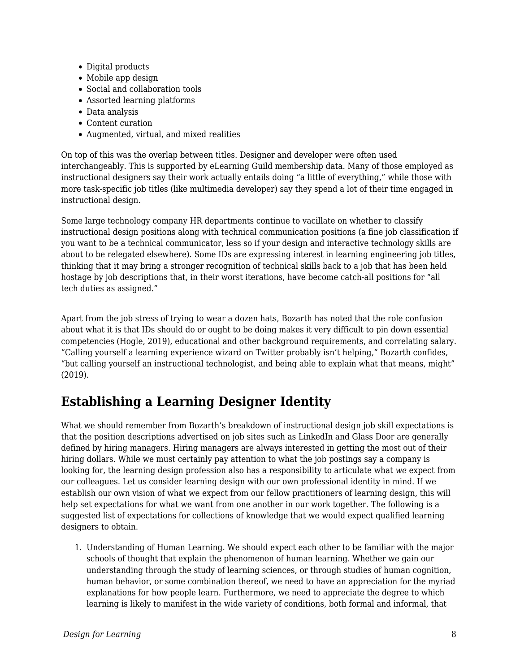- Digital products
- Mobile app design
- Social and collaboration tools
- Assorted learning platforms
- Data analysis
- Content curation
- Augmented, virtual, and mixed realities

On top of this was the overlap between titles. Designer and developer were often used interchangeably. This is supported by eLearning Guild membership data. Many of those employed as instructional designers say their work actually entails doing "a little of everything," while those with more task-specific job titles (like multimedia developer) say they spend a lot of their time engaged in instructional design.

Some large technology company HR departments continue to vacillate on whether to classify instructional design positions along with technical communication positions (a fine job classification if you want to be a technical communicator, less so if your design and interactive technology skills are about to be relegated elsewhere). Some IDs are expressing interest in learning engineering job titles, thinking that it may bring a stronger recognition of technical skills back to a job that has been held hostage by job descriptions that, in their worst iterations, have become catch-all positions for "all tech duties as assigned."

Apart from the job stress of trying to wear a dozen hats, Bozarth has noted that the role confusion about what it is that IDs should do or ought to be doing makes it very difficult to pin down essential competencies (Hogle, 2019), educational and other background requirements, and correlating salary. "Calling yourself a learning experience wizard on Twitter probably isn't helping," Bozarth confides, "but calling yourself an instructional technologist, and being able to explain what that means, might" (2019).

### **Establishing a Learning Designer Identity**

What we should remember from Bozarth's breakdown of instructional design job skill expectations is that the position descriptions advertised on job sites such as LinkedIn and Glass Door are generally defined by hiring managers. Hiring managers are always interested in getting the most out of their hiring dollars. While we must certainly pay attention to what the job postings say a company is looking for, the learning design profession also has a responsibility to articulate what *we* expect from our colleagues. Let us consider learning design with our own professional identity in mind. If we establish our own vision of what we expect from our fellow practitioners of learning design, this will help set expectations for what we want from one another in our work together. The following is a suggested list of expectations for collections of knowledge that we would expect qualified learning designers to obtain.

1. Understanding of Human Learning. We should expect each other to be familiar with the major schools of thought that explain the phenomenon of human learning. Whether we gain our understanding through the study of learning sciences, or through studies of human cognition, human behavior, or some combination thereof, we need to have an appreciation for the myriad explanations for how people learn. Furthermore, we need to appreciate the degree to which learning is likely to manifest in the wide variety of conditions, both formal and informal, that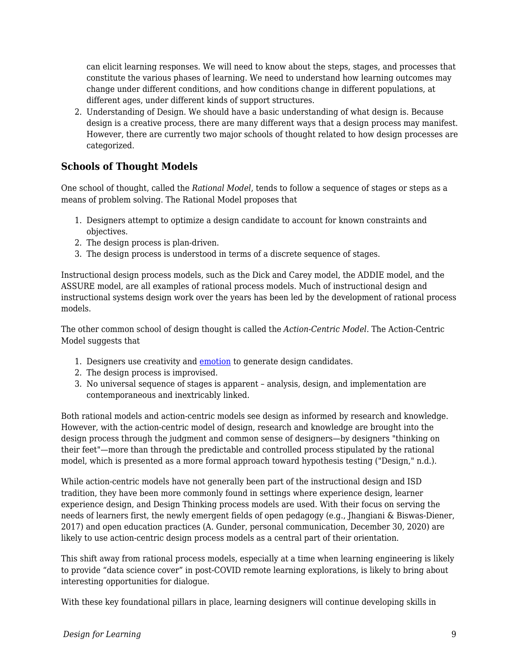can elicit learning responses. We will need to know about the steps, stages, and processes that constitute the various phases of learning. We need to understand how learning outcomes may change under different conditions, and how conditions change in different populations, at different ages, under different kinds of support structures.

2. Understanding of Design. We should have a basic understanding of what design is. Because design is a creative process, there are many different ways that a design process may manifest. However, there are currently two major schools of thought related to how design processes are categorized.

#### **Schools of Thought Models**

One school of thought, called the *Rational Model*, tends to follow a sequence of stages or steps as a means of problem solving. The Rational Model proposes that

- 1. Designers attempt to optimize a design candidate to account for known constraints and objectives.
- 2. The design process is plan-driven.
- 3. The design process is understood in terms of a discrete sequence of stages.

Instructional design process models, such as the Dick and Carey model, the ADDIE model, and the ASSURE model, are all examples of rational process models. Much of instructional design and instructional systems design work over the years has been led by the development of rational process models.

The other common school of design thought is called the *Action-Centric Model*. The Action-Centric Model suggests that

- 1. Designers use creativity and [emotion](https://en.wikipedia.org/wiki/Emotion) to generate design candidates.
- 2. The design process is improvised.
- 3. No universal sequence of stages is apparent analysis, design, and implementation are contemporaneous and inextricably linked.

Both rational models and action-centric models see design as informed by research and knowledge. However, with the action-centric model of design, research and knowledge are brought into the design process through the judgment and common sense of designers—by designers "thinking on their feet"—more than through the predictable and controlled process stipulated by the rational model, which is presented as a more formal approach toward hypothesis testing ("Design," n.d.).

While action-centric models have not generally been part of the instructional design and ISD tradition, they have been more commonly found in settings where experience design, learner experience design, and Design Thinking process models are used. With their focus on serving the needs of learners first, the newly emergent fields of open pedagogy (e.g., Jhangiani & Biswas-Diener, 2017) and open education practices (A. Gunder, personal communication, December 30, 2020) are likely to use action-centric design process models as a central part of their orientation.

This shift away from rational process models, especially at a time when learning engineering is likely to provide "data science cover" in post-COVID remote learning explorations, is likely to bring about interesting opportunities for dialogue.

With these key foundational pillars in place, learning designers will continue developing skills in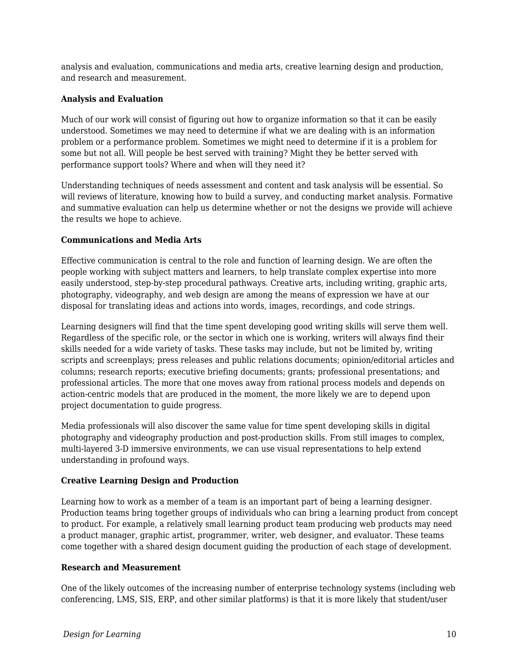analysis and evaluation, communications and media arts, creative learning design and production, and research and measurement.

#### **Analysis and Evaluation**

Much of our work will consist of figuring out how to organize information so that it can be easily understood. Sometimes we may need to determine if what we are dealing with is an information problem or a performance problem. Sometimes we might need to determine if it is a problem for some but not all. Will people be best served with training? Might they be better served with performance support tools? Where and when will they need it?

Understanding techniques of needs assessment and content and task analysis will be essential. So will reviews of literature, knowing how to build a survey, and conducting market analysis. Formative and summative evaluation can help us determine whether or not the designs we provide will achieve the results we hope to achieve.

#### **Communications and Media Arts**

Effective communication is central to the role and function of learning design. We are often the people working with subject matters and learners, to help translate complex expertise into more easily understood, step-by-step procedural pathways. Creative arts, including writing, graphic arts, photography, videography, and web design are among the means of expression we have at our disposal for translating ideas and actions into words, images, recordings, and code strings.

Learning designers will find that the time spent developing good writing skills will serve them well. Regardless of the specific role, or the sector in which one is working, writers will always find their skills needed for a wide variety of tasks. These tasks may include, but not be limited by, writing scripts and screenplays; press releases and public relations documents; opinion/editorial articles and columns; research reports; executive briefing documents; grants; professional presentations; and professional articles. The more that one moves away from rational process models and depends on action-centric models that are produced in the moment, the more likely we are to depend upon project documentation to guide progress.

Media professionals will also discover the same value for time spent developing skills in digital photography and videography production and post-production skills. From still images to complex, multi-layered 3-D immersive environments, we can use visual representations to help extend understanding in profound ways.

#### **Creative Learning Design and Production**

Learning how to work as a member of a team is an important part of being a learning designer. Production teams bring together groups of individuals who can bring a learning product from concept to product. For example, a relatively small learning product team producing web products may need a product manager, graphic artist, programmer, writer, web designer, and evaluator. These teams come together with a shared design document guiding the production of each stage of development.

#### **Research and Measurement**

One of the likely outcomes of the increasing number of enterprise technology systems (including web conferencing, LMS, SIS, ERP, and other similar platforms) is that it is more likely that student/user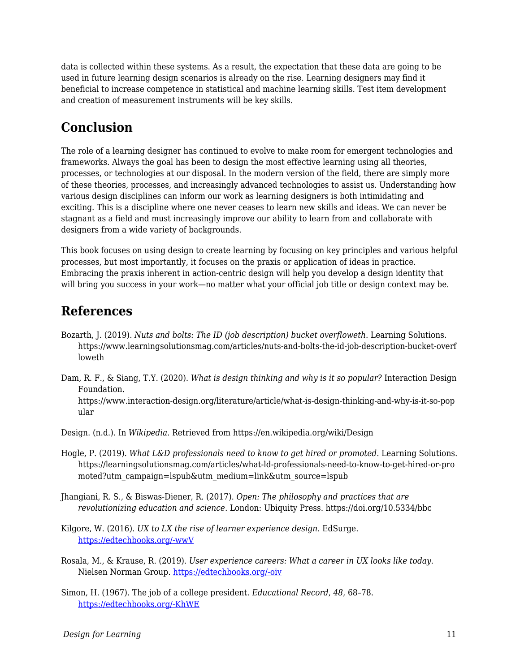data is collected within these systems. As a result, the expectation that these data are going to be used in future learning design scenarios is already on the rise. Learning designers may find it beneficial to increase competence in statistical and machine learning skills. Test item development and creation of measurement instruments will be key skills.

## **Conclusion**

The role of a learning designer has continued to evolve to make room for emergent technologies and frameworks. Always the goal has been to design the most effective learning using all theories, processes, or technologies at our disposal. In the modern version of the field, there are simply more of these theories, processes, and increasingly advanced technologies to assist us. Understanding how various design disciplines can inform our work as learning designers is both intimidating and exciting. This is a discipline where one never ceases to learn new skills and ideas. We can never be stagnant as a field and must increasingly improve our ability to learn from and collaborate with designers from a wide variety of backgrounds.

This book focuses on using design to create learning by focusing on key principles and various helpful processes, but most importantly, it focuses on the praxis or application of ideas in practice. Embracing the praxis inherent in action-centric design will help you develop a design identity that will bring you success in your work—no matter what your official job title or design context may be.

### **References**

- Bozarth, J. (2019). *Nuts and bolts: The ID (job description) bucket overfloweth.* Learning Solutions. https://www.learningsolutionsmag.com/articles/nuts-and-bolts-the-id-job-description-bucket-overf loweth
- Dam, R. F., & Siang, T.Y. (2020). *What is design thinking and why is it so popular?* Interaction Design Foundation. https://www.interaction-design.org/literature/article/what-is-design-thinking-and-why-is-it-so-pop ular

Design. (n.d.). In *Wikipedia*. Retrieved from https://en.wikipedia.org/wiki/Design

- Hogle, P. (2019). *What L&D professionals need to know to get hired or promoted*. Learning Solutions. https://learningsolutionsmag.com/articles/what-ld-professionals-need-to-know-to-get-hired-or-pro moted?utm\_campaign=lspub&utm\_medium=link&utm\_source=lspub
- Jhangiani, R. S., & Biswas-Diener, R. (2017). *Open: The philosophy and practices that are revolutionizing education and science*. London: Ubiquity Press. https://doi.org/10.5334/bbc

Kilgore, W. (2016). *UX to LX the rise of learner experience design*. EdSurge. [https://edtechbooks.org/-wwV](https://www.edsurge.com/news/2016-06-20-ux-to-lx-the-rise-of-learner-experience-design)

- Rosala, M., & Krause, R. (2019). *User experience careers: What a career in UX looks like today*. Nielsen Norman Group. [https://edtechbooks.org/-oiv](https://media.nngroup.com/media/reports/free/UserExperienceCareers_2nd_Edition.pdf)
- Simon, H. (1967). The job of a college president. *Educational Record*, *48*, 68–78. [https://edtechbooks.org/-KhWE](http://digitalcollections.library.cmu.edu/awweb/awarchive?type=file&item=33692)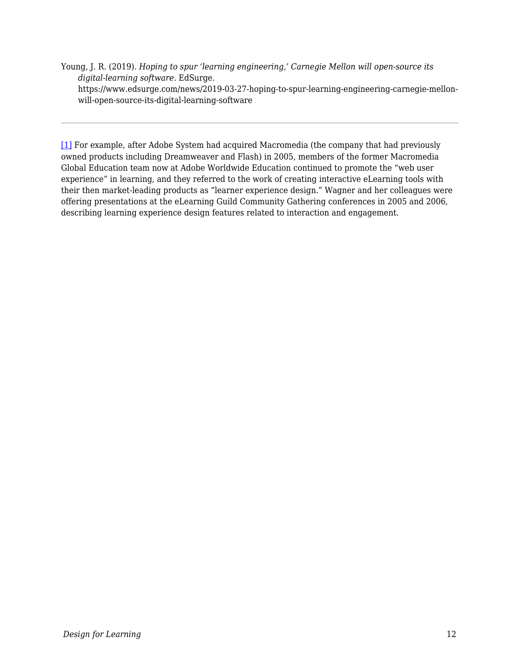Young, J. R. (2019). *Hoping to spur 'learning engineering,' Carnegie Mellon will open-source its digital-learning software*. EdSurge. https://www.edsurge.com/news/2019-03-27-hoping-to-spur-learning-engineering-carnegie-mellonwill-open-source-its-digital-learning-software

[\[1\]](#page--1-0) For example, after Adobe System had acquired Macromedia (the company that had previously owned products including Dreamweaver and Flash) in 2005, members of the former Macromedia Global Education team now at Adobe Worldwide Education continued to promote the "web user experience" in learning, and they referred to the work of creating interactive eLearning tools with their then market-leading products as "learner experience design." Wagner and her colleagues were offering presentations at the eLearning Guild Community Gathering conferences in 2005 and 2006, describing learning experience design features related to interaction and engagement.